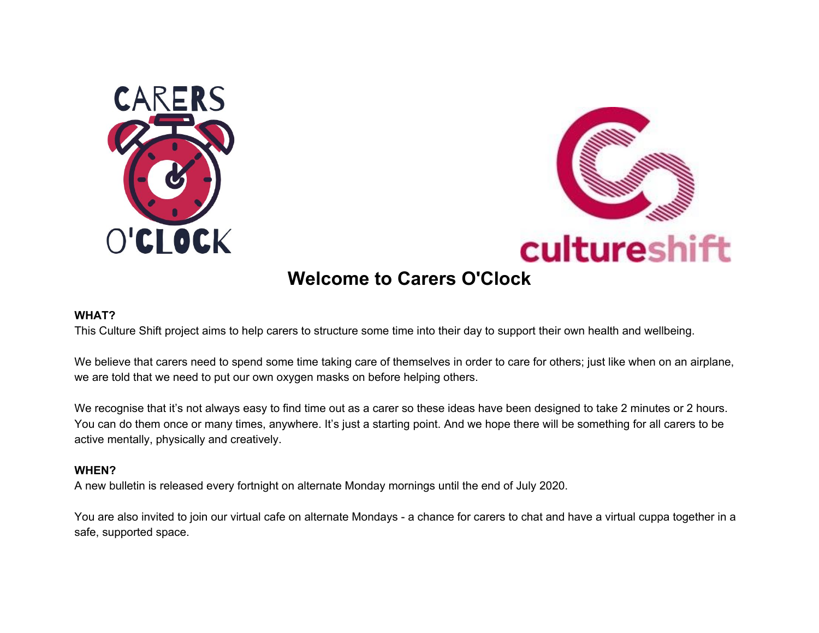



## **Welcome to Carers O'Clock**

#### **WHAT?**

This Culture Shift project aims to help carers to structure some time into their day to support their own health and wellbeing.

We believe that carers need to spend some time taking care of themselves in order to care for others; just like when on an airplane, we are told that we need to put our own oxygen masks on before helping others.

We recognise that it's not always easy to find time out as a carer so these ideas have been designed to take 2 minutes or 2 hours. You can do them once or many times, anywhere. It's just a starting point. And we hope there will be something for all carers to be active mentally, physically and creatively.

### **WHEN?**

A new bulletin is released every fortnight on alternate Monday mornings until the end of July 2020.

You are also invited to join our virtual cafe on alternate Mondays - a chance for carers to chat and have a virtual cuppa together in a safe, supported space.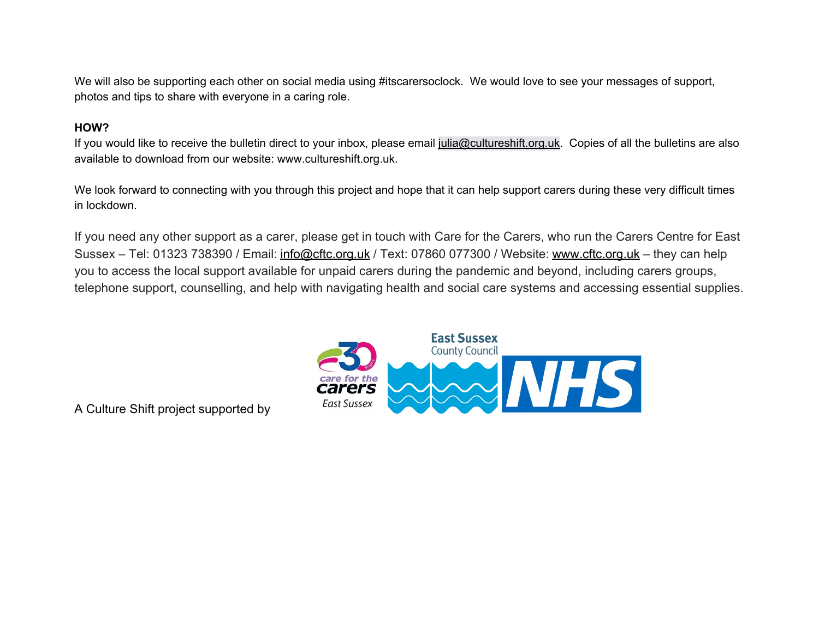We will also be supporting each other on social media using #itscarersoclock. We would love to see your messages of support, photos and tips to share with everyone in a caring role.

### **HOW?**

If you would like to receive the bulletin direct to your inbox, please email julia@cultureshift.org.uk. Copies of all the bulletins are also available to download from our website: www.cultureshift.org.uk.

We look forward to connecting with you through this project and hope that it can help support carers during these very difficult times in lockdown.

If you need any other support as a carer, please get in touch with Care for the Carers, who run the Carers Centre for East Sussex – Tel: 01323 738390 / Email: info@cftc.org.uk / Text: 07860 077300 / Website: www.cftc.org.uk – they can help you to access the local support available for unpaid carers during the pandemic and beyond, including carers groups, telephone support, counselling, and help with navigating health and social care systems and accessing essential supplies.



A Culture Shift project supported by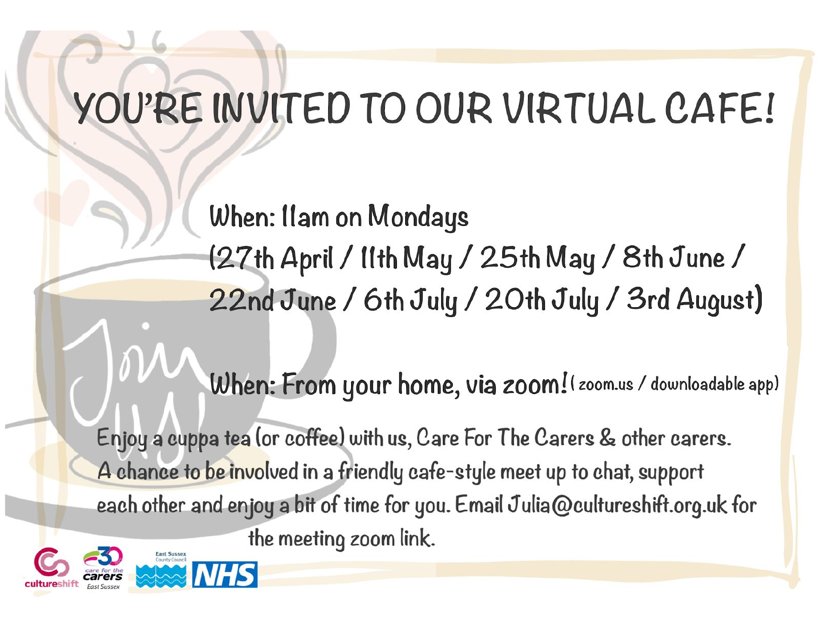# YOU'RE INVITED TO OUR VIRTUAL CAFE!

When: Ilam on Mondays (27th April / 11th May / 25th May / 8th June / 22nd June / 6th July / 20th July / 3rd August)

When: From your home, via zoom! ( zoom.us / downloadable app)

Enjoy a cuppa tea (or coffee) with us, Care For The Carers & other carers. A chance to be involved in a friendly cafe-style meet up to chat, support each other and enjoy a bit of time for you. Email Julia@cultureshift.org.uk for the meeting zoom link.

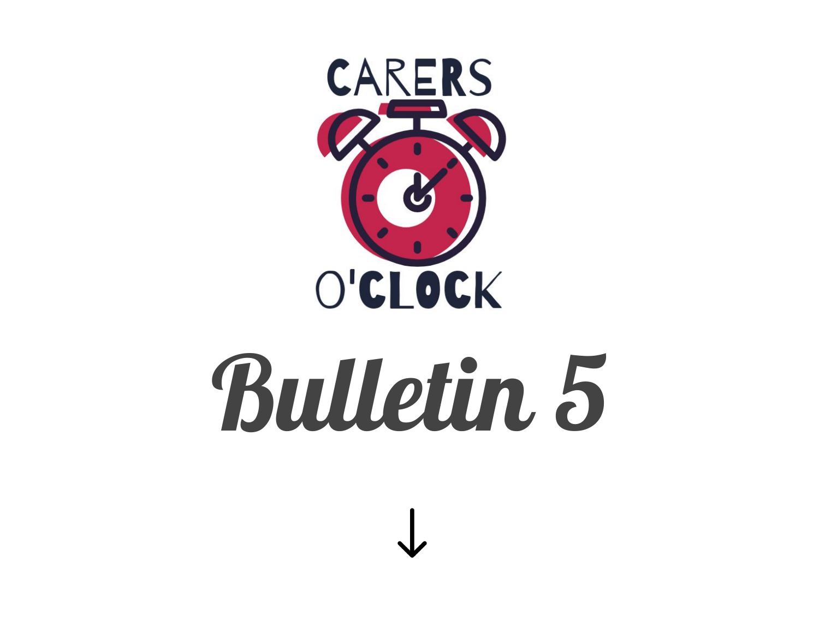